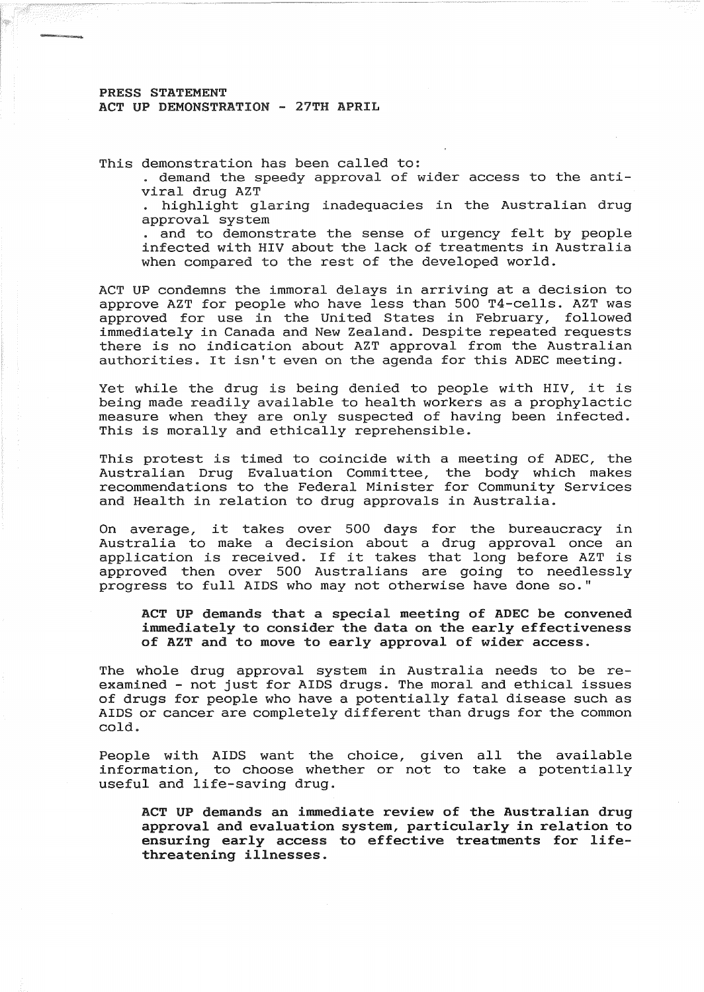## PRESS STATEMENT ACT UP DEMONSTRATION - 27TH APRIL

This demonstration has been called to:

. demand the speedy approval of wider access to the antiviral drug AZT

highlight glaring inadequacies in the Australian drug approval system

. and to demonstrate the sense of urgency felt by people infected with HIV about the lack of treatments in Australia when compared to the rest of the developed world.

ACT UP condemns the immoral delays in arriving at a decision to approve AZT for people who have less than 500 T4-cells. AZT was approved for use in the United States in February, followed immediately in Canada and New Zealand. Despite repeated requests there is no indication about AZT approval from the Australian authorities. It isn't even on the agenda for this ADEC meeting.

Yet while the drug is being denied to people with HIV, it is being made readily available to health workers as a prophylactic measure when they are only suspected of having been infected. This is morally and ethically reprehensible.

This protest is timed to coincide with a meeting of ADEC, the Australian Drug Evaluation Committee, the body which makes recommendations to the Federal Minister for Community Services and Health in relation to drug approvals in Australia.

On average, it takes over 500 days for the bureaucracy in Australia to make a decision about a drug approval once an application is received. If it takes that long before AZT is approved then over 500 Australians are going to needlessly progress to full AIDS who may not otherwise have done so."

ACT UP demands that a special meeting of ADEC be convened immediately to consider the data on the early effectiveness of AZT and to move to early approval of wider access.

The whole drug approval system in Australia needs to be reexamined - not just for AIDS drugs. The moral and ethical issues of drugs for people who have a potentially fatal disease such as AIDS or cancer are completely different than drugs for the common cold.

People with AIDS want the choice, given all the available information, to choose whether or not to take a potentially useful and life-saving drug.

ACT UP demands an immediate review of the Australian drug approval and evaluation system, particularly in relation to ensuring early access to effective treatments for lifethreatening illnesses.